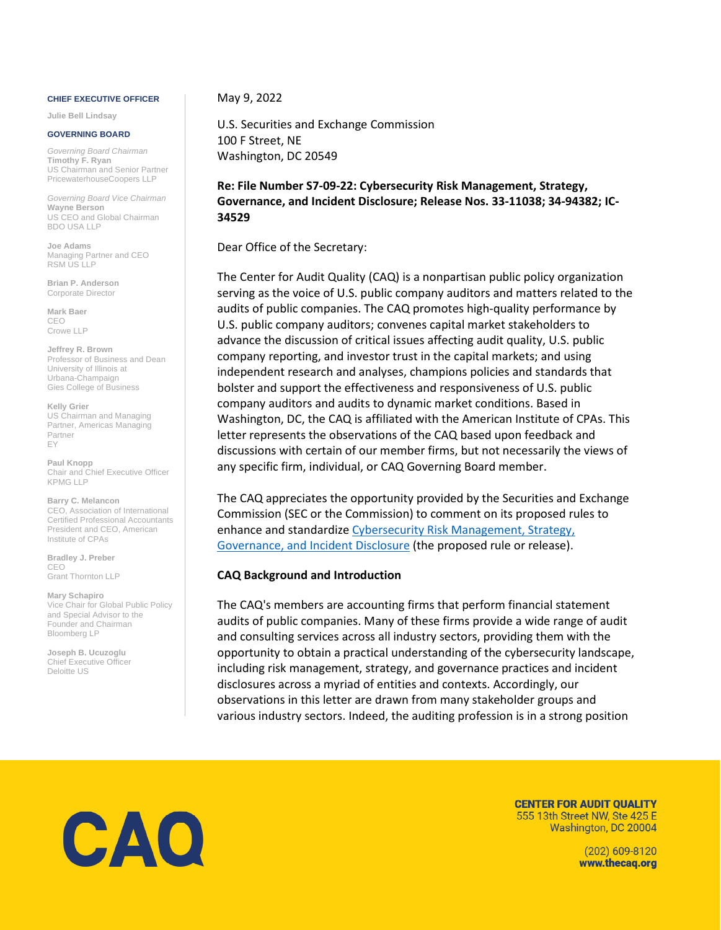#### **CHIEF EXECUTIVE OFFICER**

**Julie Bell Lindsay** 

#### **GOVERNING BOARD**

*Governing Board Chairman*  **Timothy F. Ryan**  US Chairman and Senior Partner PricewaterhouseCoopers LLP

*Governing Board Vice Chairman*  **Wayne Berson**  US CEO and Global Chairman BDO USA LLP

**Joe Adams**  Managing Partner and CEO RSM US LLP

**Brian P. Anderson**  Corporate Director

**Mark Baer**  CEO Crowe LLP

**Jeffrey R. Brown**  Professor of Business and Dean University of Illinois at Urbana-Champaign Gies College of Business

**Kelly Grier**  US Chairman and Managing Partner, Americas Managing Partner EY

**Paul Knopp**  Chair and Chief Executive Officer KPMG LLP

**Barry C. Melancon**  CEO, Association of International Certified Professional Accountants President and CEO, American Institute of CPAs

**Bradley J. Preber**  CEO Grant Thornton LLP

**Mary Schapiro**  Vice Chair for Global Public Policy and Special Advisor to the Founder and Chairman Bloomberg LP

**Joseph B. Ucuzoglu**  Chief Executive Officer Deloitte US

May 9, 2022

U.S. Securities and Exchange Commission 100 F Street, NE Washington, DC 20549

**Re: File Number S7-09-22: Cybersecurity Risk Management, Strategy, Governance, and Incident Disclosure; Release Nos. 33-11038; 34-94382; IC-34529** 

Dear Office of the Secretary:

The Center for Audit Quality (CAQ) is a nonpartisan public policy organization serving as the voice of U.S. public company auditors and matters related to the audits of public companies. The CAQ promotes high-quality performance by U.S. public company auditors; convenes capital market stakeholders to advance the discussion of critical issues affecting audit quality, U.S. public company reporting, and investor trust in the capital markets; and using independent research and analyses, champions policies and standards that bolster and support the effectiveness and responsiveness of U.S. public company auditors and audits to dynamic market conditions. Based in Washington, DC, the CAQ is affiliated with the American Institute of CPAs. This letter represents the observations of the CAQ based upon feedback and discussions with certain of our member firms, but not necessarily the views of any specific firm, individual, or CAQ Governing Board member.

The CAQ appreciates the opportunity provided by the Securities and Exchange Commission (SEC or the Commission) to comment on its proposed rules to enhance and standardize [Cybersecurity Risk Management, Strategy,](https://www.sec.gov/rules/proposed/2022/33-11038.pdf)  [Governance, and Incident Disclosure](https://www.sec.gov/rules/proposed/2022/33-11038.pdf) (the proposed rule or release).

#### **CAQ Background and Introduction**

The CAQ's members are accounting firms that perform financial statement audits of public companies. Many of these firms provide a wide range of audit and consulting services across all industry sectors, providing them with the opportunity to obtain a practical understanding of the cybersecurity landscape, including risk management, strategy, and governance practices and incident disclosures across a myriad of entities and contexts. Accordingly, our observations in this letter are drawn from many stakeholder groups and various industry sectors. Indeed, the auditing profession is in a strong position



**CENTER FOR AUDIT QUALITY** 555 13th Street NW, Ste 425 E Washington, DC 20004

> (202) 609-8120 www.thecag.org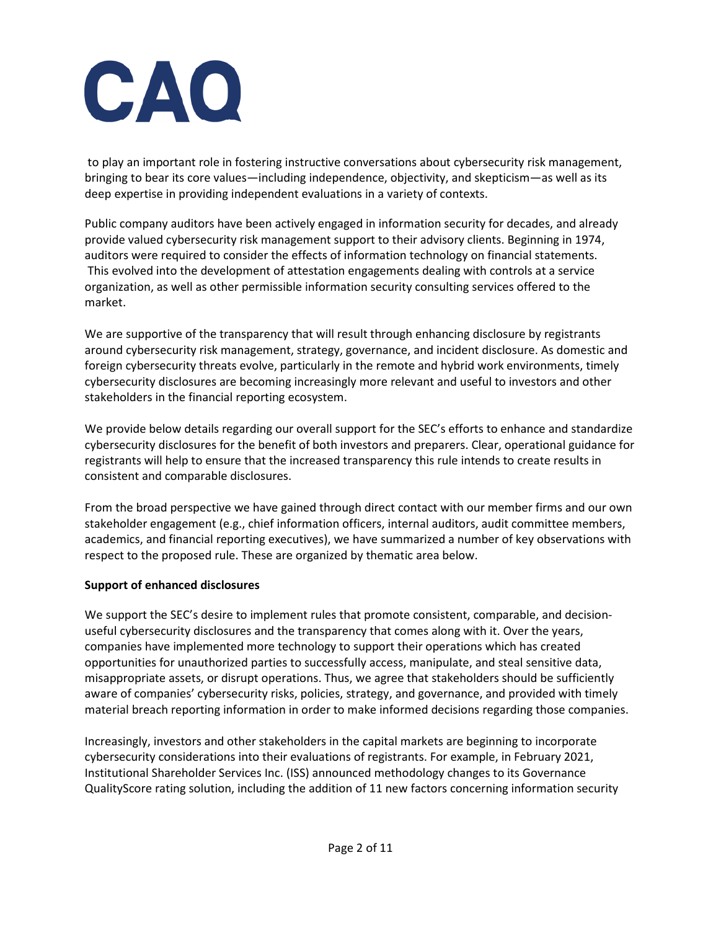to play an important role in fostering instructive conversations about cybersecurity risk management, bringing to bear its core values—including independence, objectivity, and skepticism—as well as its deep expertise in providing independent evaluations in a variety of contexts.

Public company auditors have been actively engaged in information security for decades, and already provide valued cybersecurity risk management support to their advisory clients. Beginning in 1974, auditors were required to consider the effects of information technology on financial statements. This evolved into the development of attestation engagements dealing with controls at a service organization, as well as other permissible information security consulting services offered to the market.

We are supportive of the transparency that will result through enhancing disclosure by registrants around cybersecurity risk management, strategy, governance, and incident disclosure. As domestic and foreign cybersecurity threats evolve, particularly in the remote and hybrid work environments, timely cybersecurity disclosures are becoming increasingly more relevant and useful to investors and other stakeholders in the financial reporting ecosystem.

We provide below details regarding our overall support for the SEC's efforts to enhance and standardize cybersecurity disclosures for the benefit of both investors and preparers. Clear, operational guidance for registrants will help to ensure that the increased transparency this rule intends to create results in consistent and comparable disclosures.

From the broad perspective we have gained through direct contact with our member firms and our own stakeholder engagement (e.g., chief information officers, internal auditors, audit committee members, academics, and financial reporting executives), we have summarized a number of key observations with respect to the proposed rule. These are organized by thematic area below.

### **Support of enhanced disclosures**

We support the SEC's desire to implement rules that promote consistent, comparable, and decisionuseful cybersecurity disclosures and the transparency that comes along with it. Over the years, companies have implemented more technology to support their operations which has created opportunities for unauthorized parties to successfully access, manipulate, and steal sensitive data, misappropriate assets, or disrupt operations. Thus, we agree that stakeholders should be sufficiently aware of companies' cybersecurity risks, policies, strategy, and governance, and provided with timely material breach reporting information in order to make informed decisions regarding those companies.

Increasingly, investors and other stakeholders in the capital markets are beginning to incorporate cybersecurity considerations into their evaluations of registrants. For example, in February 2021, Institutional Shareholder Services Inc. (ISS) announced methodology changes to its Governance QualityScore rating solution, including the addition of 11 new factors concerning information security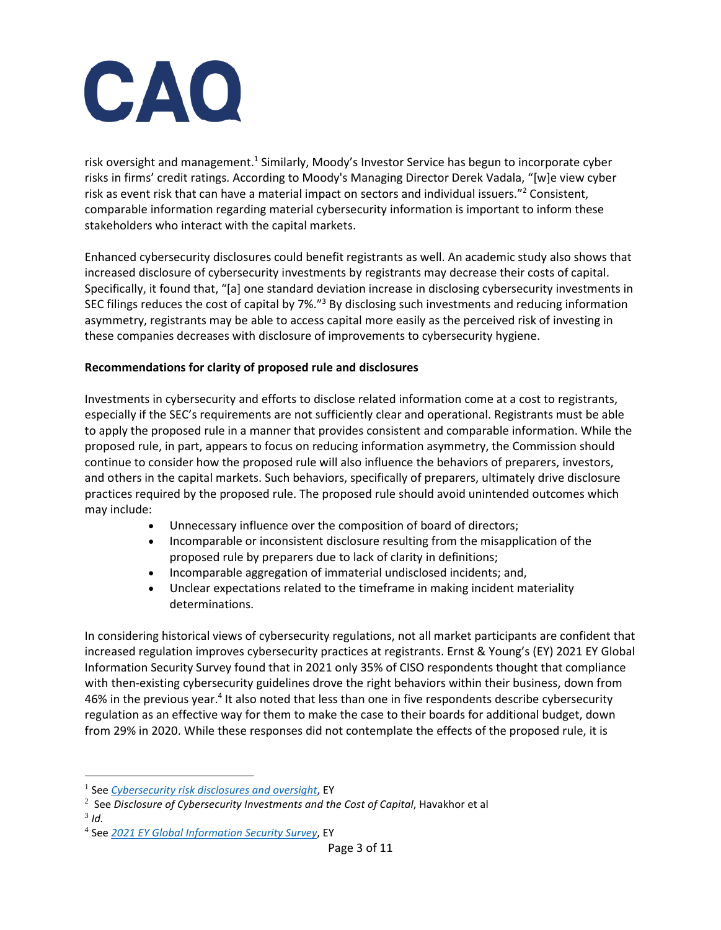

risk oversight and management.<sup>1</sup> Similarly, Moody's Investor Service has begun to incorporate cyber risks in firms' credit ratings. According to Moody's Managing Director Derek Vadala, "[w]e view cyber risk as event risk that can have a material impact on sectors and individual issuers."<sup>2</sup> Consistent, comparable information regarding material cybersecurity information is important to inform these stakeholders who interact with the capital markets.

Enhanced cybersecurity disclosures could benefit registrants as well. An academic study also shows that increased disclosure of cybersecurity investments by registrants may decrease their costs of capital. Specifically, it found that, "[a] one standard deviation increase in disclosing cybersecurity investments in SEC filings reduces the cost of capital by 7%."<sup>3</sup> By disclosing such investments and reducing information asymmetry, registrants may be able to access capital more easily as the perceived risk of investing in these companies decreases with disclosure of improvements to cybersecurity hygiene.

#### **Recommendations for clarity of proposed rule and disclosures**

Investments in cybersecurity and efforts to disclose related information come at a cost to registrants, especially if the SEC's requirements are not sufficiently clear and operational. Registrants must be able to apply the proposed rule in a manner that provides consistent and comparable information. While the proposed rule, in part, appears to focus on reducing information asymmetry, the Commission should continue to consider how the proposed rule will also influence the behaviors of preparers, investors, and others in the capital markets. Such behaviors, specifically of preparers, ultimately drive disclosure practices required by the proposed rule. The proposed rule should avoid unintended outcomes which may include:

- Unnecessary influence over the composition of board of directors;
- Incomparable or inconsistent disclosure resulting from the misapplication of the proposed rule by preparers due to lack of clarity in definitions;
- Incomparable aggregation of immaterial undisclosed incidents; and,
- Unclear expectations related to the timeframe in making incident materiality determinations.

In considering historical views of cybersecurity regulations, not all market participants are confident that increased regulation improves cybersecurity practices at registrants. Ernst & Young's (EY) 2021 EY Global Information Security Survey found that in 2021 only 35% of CISO respondents thought that compliance with then-existing cybersecurity guidelines drove the right behaviors within their business, down from 46% in the previous year.<sup>4</sup> It also noted that less than one in five respondents describe cybersecurity regulation as an effective way for them to make the case to their boards for additional budget, down from 29% in 2020. While these responses did not contemplate the effects of the proposed rule, it is

3 *Id.*

<sup>1</sup> See *[Cybersecurity risk disclosures and oversight](https://www.ey.com/en_us/board-matters/cybersecurity-risk-disclosures-and-oversight)*, EY

<sup>2</sup> See *Disclosure of Cybersecurity Investments and the Cost of Capital*, Havakhor et al

<sup>4</sup> See *[2021 EY Global Information Security Survey](https://www.ey.com/en_gl/cybersecurity/cybersecurity-how-do-you-rise-above-the-waves-of-a-perfect-storm)*, EY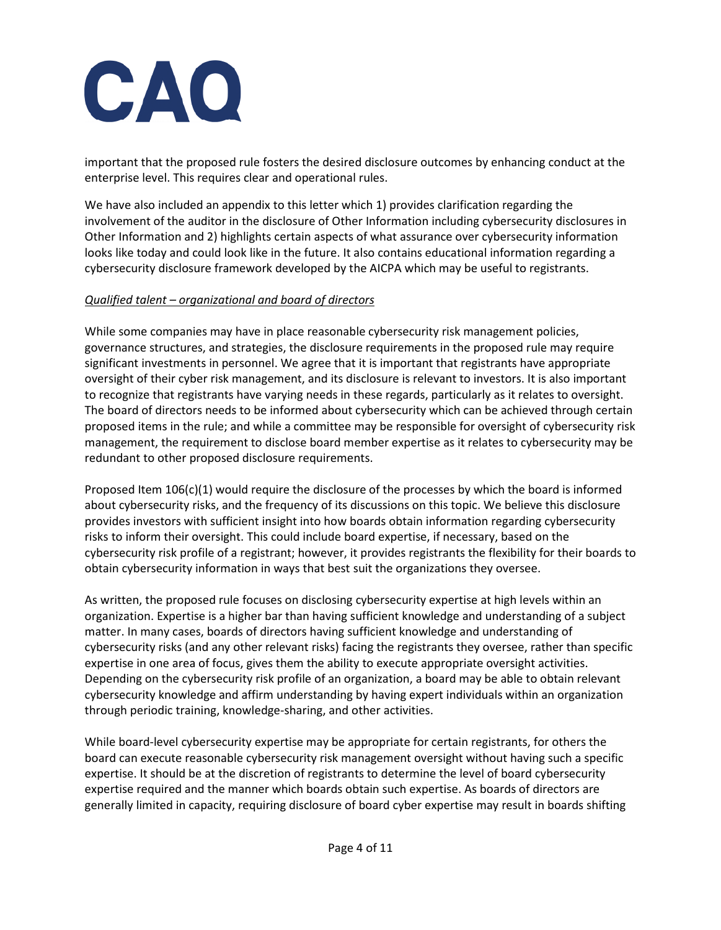important that the proposed rule fosters the desired disclosure outcomes by enhancing conduct at the enterprise level. This requires clear and operational rules.

We have also included an appendix to this letter which 1) provides clarification regarding the involvement of the auditor in the disclosure of Other Information including cybersecurity disclosures in Other Information and 2) highlights certain aspects of what assurance over cybersecurity information looks like today and could look like in the future. It also contains educational information regarding a cybersecurity disclosure framework developed by the AICPA which may be useful to registrants.

## *Qualified talent – organizational and board of directors*

While some companies may have in place reasonable cybersecurity risk management policies, governance structures, and strategies, the disclosure requirements in the proposed rule may require significant investments in personnel. We agree that it is important that registrants have appropriate oversight of their cyber risk management, and its disclosure is relevant to investors. It is also important to recognize that registrants have varying needs in these regards, particularly as it relates to oversight. The board of directors needs to be informed about cybersecurity which can be achieved through certain proposed items in the rule; and while a committee may be responsible for oversight of cybersecurity risk management, the requirement to disclose board member expertise as it relates to cybersecurity may be redundant to other proposed disclosure requirements.

Proposed Item 106(c)(1) would require the disclosure of the processes by which the board is informed about cybersecurity risks, and the frequency of its discussions on this topic. We believe this disclosure provides investors with sufficient insight into how boards obtain information regarding cybersecurity risks to inform their oversight. This could include board expertise, if necessary, based on the cybersecurity risk profile of a registrant; however, it provides registrants the flexibility for their boards to obtain cybersecurity information in ways that best suit the organizations they oversee.

As written, the proposed rule focuses on disclosing cybersecurity expertise at high levels within an organization. Expertise is a higher bar than having sufficient knowledge and understanding of a subject matter. In many cases, boards of directors having sufficient knowledge and understanding of cybersecurity risks (and any other relevant risks) facing the registrants they oversee, rather than specific expertise in one area of focus, gives them the ability to execute appropriate oversight activities. Depending on the cybersecurity risk profile of an organization, a board may be able to obtain relevant cybersecurity knowledge and affirm understanding by having expert individuals within an organization through periodic training, knowledge-sharing, and other activities.

While board-level cybersecurity expertise may be appropriate for certain registrants, for others the board can execute reasonable cybersecurity risk management oversight without having such a specific expertise. It should be at the discretion of registrants to determine the level of board cybersecurity expertise required and the manner which boards obtain such expertise. As boards of directors are generally limited in capacity, requiring disclosure of board cyber expertise may result in boards shifting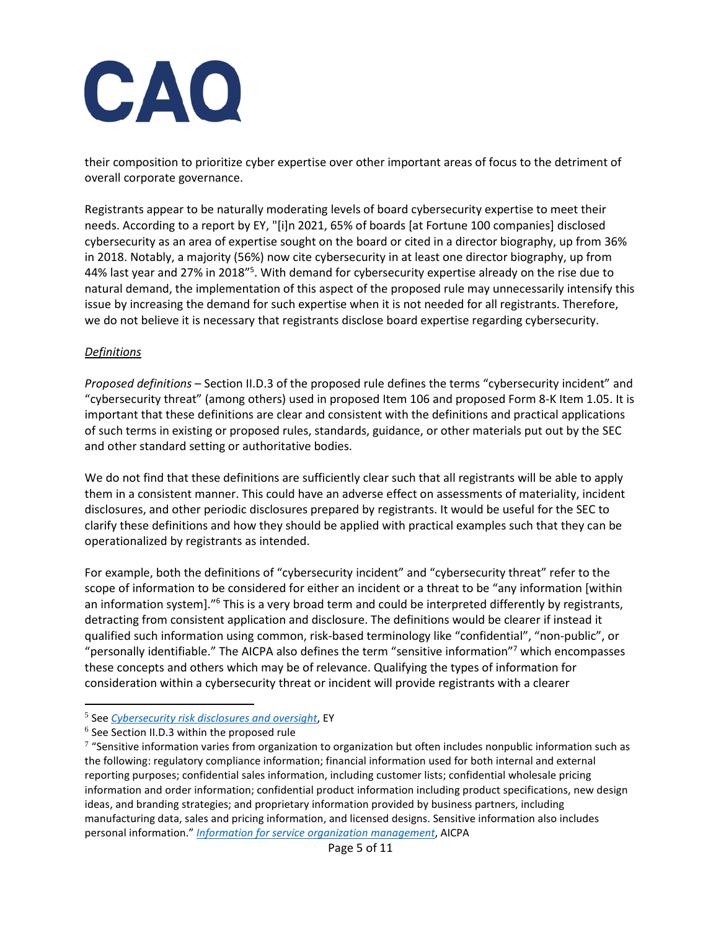their composition to prioritize cyber expertise over other important areas of focus to the detriment of overall corporate governance.

Registrants appear to be naturally moderating levels of board cybersecurity expertise to meet their needs. According to a report by EY, "[i]n 2021, 65% of boards [at Fortune 100 companies] disclosed cybersecurity as an area of expertise sought on the board or cited in a director biography, up from 36% in 2018. Notably, a majority (56%) now cite cybersecurity in at least one director biography, up from 44% last year and 27% in 2018"<sup>5</sup>. With demand for cybersecurity expertise already on the rise due to natural demand, the implementation of this aspect of the proposed rule may unnecessarily intensify this issue by increasing the demand for such expertise when it is not needed for all registrants. Therefore, we do not believe it is necessary that registrants disclose board expertise regarding cybersecurity.

## *Definitions*

*Proposed definitions* – Section II.D.3 of the proposed rule defines the terms "cybersecurity incident" and "cybersecurity threat" (among others) used in proposed Item 106 and proposed Form 8-K Item 1.05. It is important that these definitions are clear and consistent with the definitions and practical applications of such terms in existing or proposed rules, standards, guidance, or other materials put out by the SEC and other standard setting or authoritative bodies.

We do not find that these definitions are sufficiently clear such that all registrants will be able to apply them in a consistent manner. This could have an adverse effect on assessments of materiality, incident disclosures, and other periodic disclosures prepared by registrants. It would be useful for the SEC to clarify these definitions and how they should be applied with practical examples such that they can be operationalized by registrants as intended.

For example, both the definitions of "cybersecurity incident" and "cybersecurity threat" refer to the scope of information to be considered for either an incident or a threat to be "any information [within an information system]."<sup>6</sup> This is a very broad term and could be interpreted differently by registrants, detracting from consistent application and disclosure. The definitions would be clearer if instead it qualified such information using common, risk-based terminology like "confidential", "non-public", or "personally identifiable." The AICPA also defines the term "sensitive information"<sup>7</sup> which encompasses these concepts and others which may be of relevance. Qualifying the types of information for consideration within a cybersecurity threat or incident will provide registrants with a clearer

<sup>5</sup> See *[Cybersecurity risk disclosures and oversight](https://www.ey.com/en_us/board-matters/cybersecurity-risk-disclosures-and-oversight)*, EY

 $6$  See Section II.D.3 within the proposed rule

 $7$  "Sensitive information varies from organization to organization but often includes nonpublic information such as the following: regulatory compliance information; financial information used for both internal and external reporting purposes; confidential sales information, including customer lists; confidential wholesale pricing information and order information; confidential product information including product specifications, new design ideas, and branding strategies; and proprietary information provided by business partners, including manufacturing data, sales and pricing information, and licensed designs. Sensitive information also includes personal information." *[Information for service organization management](https://us.aicpa.org/content/dam/aicpa/interestareas/frc/assuranceadvisoryservices/downloadabledocuments/infoformanagementofsvcorg.pdf)*, AICPA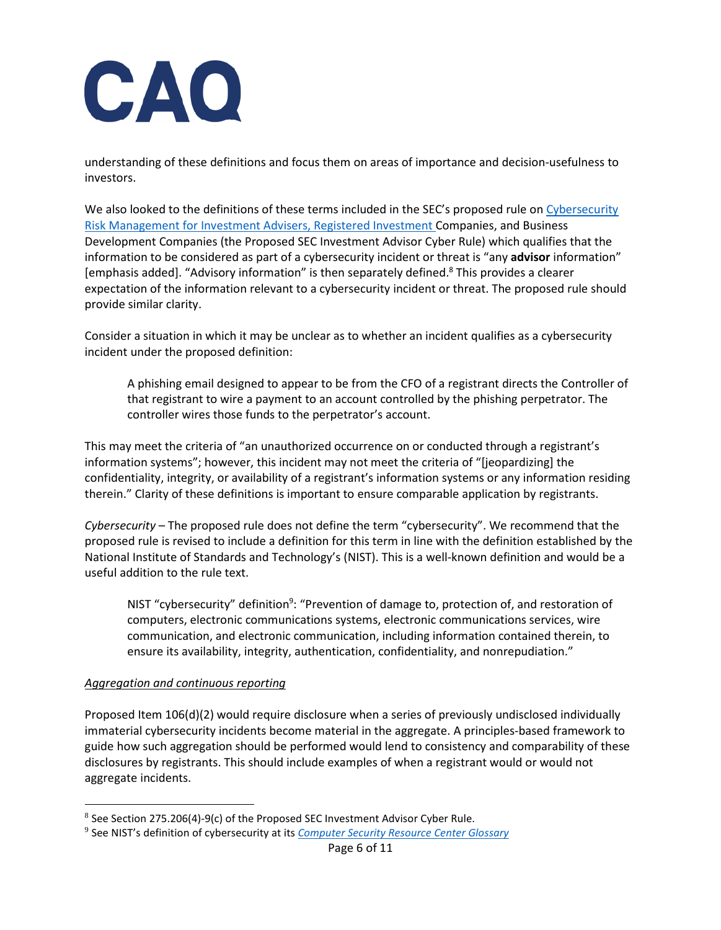understanding of these definitions and focus them on areas of importance and decision-usefulness to investors.

We also looked to the definitions of these terms included in the SEC's proposed rule on Cybersecurity [Risk Management for Investment Advisers, Registered Investment Companies, and Business](https://www.sec.gov/rules/proposed/2022/33-11028.pdf)  [Development Companies](https://www.sec.gov/rules/proposed/2022/33-11028.pdf) (the Proposed SEC Investment Advisor Cyber Rule) which qualifies that the information to be considered as part of a cybersecurity incident or threat is "any **advisor** information" [emphasis added]. "Advisory information" is then separately defined.<sup>8</sup> This provides a clearer expectation of the information relevant to a cybersecurity incident or threat. The proposed rule should provide similar clarity.

Consider a situation in which it may be unclear as to whether an incident qualifies as a cybersecurity incident under the proposed definition:

A phishing email designed to appear to be from the CFO of a registrant directs the Controller of that registrant to wire a payment to an account controlled by the phishing perpetrator. The controller wires those funds to the perpetrator's account.

This may meet the criteria of "an unauthorized occurrence on or conducted through a registrant's information systems"; however, this incident may not meet the criteria of "[jeopardizing] the confidentiality, integrity, or availability of a registrant's information systems or any information residing therein." Clarity of these definitions is important to ensure comparable application by registrants.

*Cybersecurity* – The proposed rule does not define the term "cybersecurity". We recommend that the proposed rule is revised to include a definition for this term in line with the definition established by the National Institute of Standards and Technology's (NIST). This is a well-known definition and would be a useful addition to the rule text.

NIST "cybersecurity" definition<sup>9</sup>: "Prevention of damage to, protection of, and restoration of computers, electronic communications systems, electronic communications services, wire communication, and electronic communication, including information contained therein, to ensure its availability, integrity, authentication, confidentiality, and nonrepudiation."

### *Aggregation and continuous reporting*

Proposed Item 106(d)(2) would require disclosure when a series of previously undisclosed individually immaterial cybersecurity incidents become material in the aggregate. A principles-based framework to guide how such aggregation should be performed would lend to consistency and comparability of these disclosures by registrants. This should include examples of when a registrant would or would not aggregate incidents.

<sup>&</sup>lt;sup>8</sup> See Section 275.206(4)-9(c) of the Proposed SEC Investment Advisor Cyber Rule.

<sup>9</sup> See NIST's definition of cybersecurity at its *[Computer Security Resource Center Glossary](https://csrc.nist.gov/glossary/term/cybersecurity)*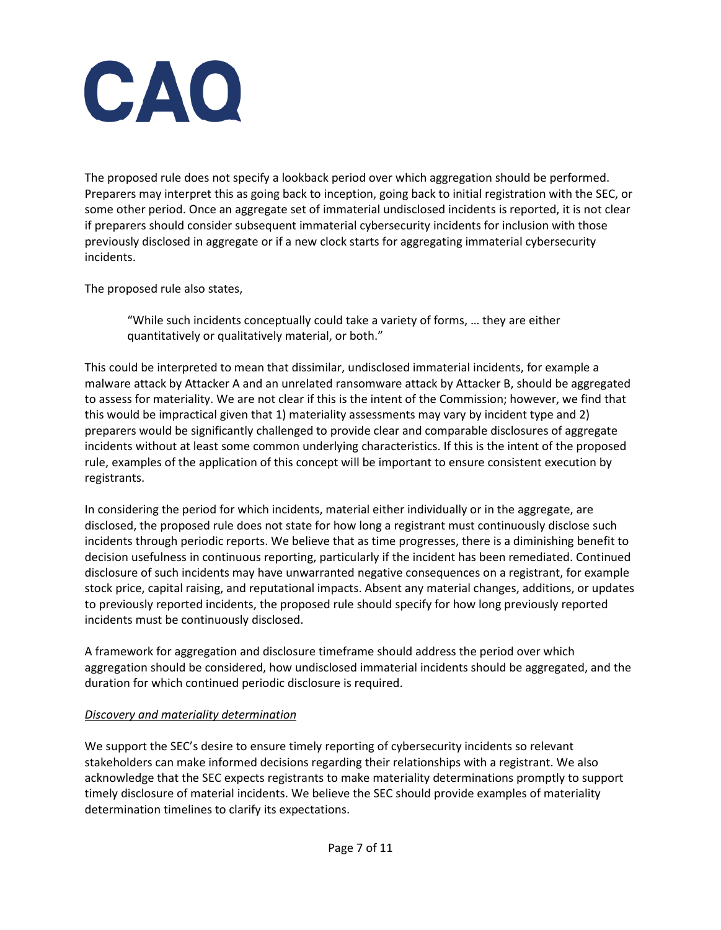

The proposed rule does not specify a lookback period over which aggregation should be performed. Preparers may interpret this as going back to inception, going back to initial registration with the SEC, or some other period. Once an aggregate set of immaterial undisclosed incidents is reported, it is not clear if preparers should consider subsequent immaterial cybersecurity incidents for inclusion with those previously disclosed in aggregate or if a new clock starts for aggregating immaterial cybersecurity incidents.

The proposed rule also states,

"While such incidents conceptually could take a variety of forms, … they are either quantitatively or qualitatively material, or both."

This could be interpreted to mean that dissimilar, undisclosed immaterial incidents, for example a malware attack by Attacker A and an unrelated ransomware attack by Attacker B, should be aggregated to assess for materiality. We are not clear if this is the intent of the Commission; however, we find that this would be impractical given that 1) materiality assessments may vary by incident type and 2) preparers would be significantly challenged to provide clear and comparable disclosures of aggregate incidents without at least some common underlying characteristics. If this is the intent of the proposed rule, examples of the application of this concept will be important to ensure consistent execution by registrants.

In considering the period for which incidents, material either individually or in the aggregate, are disclosed, the proposed rule does not state for how long a registrant must continuously disclose such incidents through periodic reports. We believe that as time progresses, there is a diminishing benefit to decision usefulness in continuous reporting, particularly if the incident has been remediated. Continued disclosure of such incidents may have unwarranted negative consequences on a registrant, for example stock price, capital raising, and reputational impacts. Absent any material changes, additions, or updates to previously reported incidents, the proposed rule should specify for how long previously reported incidents must be continuously disclosed.

A framework for aggregation and disclosure timeframe should address the period over which aggregation should be considered, how undisclosed immaterial incidents should be aggregated, and the duration for which continued periodic disclosure is required.

### *Discovery and materiality determination*

We support the SEC's desire to ensure timely reporting of cybersecurity incidents so relevant stakeholders can make informed decisions regarding their relationships with a registrant. We also acknowledge that the SEC expects registrants to make materiality determinations promptly to support timely disclosure of material incidents. We believe the SEC should provide examples of materiality determination timelines to clarify its expectations.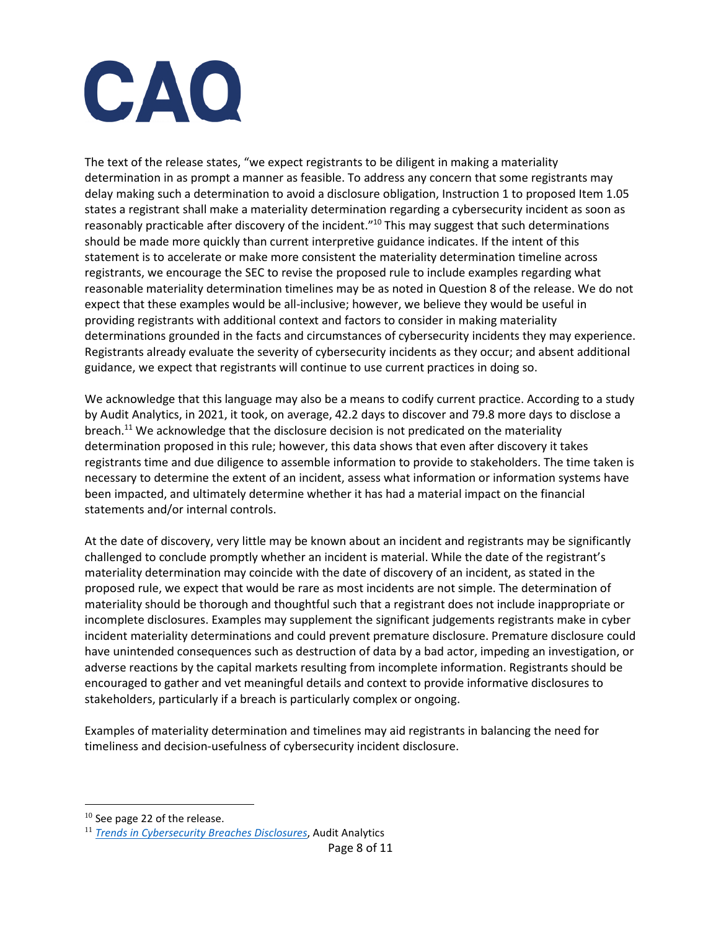

The text of the release states, "we expect registrants to be diligent in making a materiality determination in as prompt a manner as feasible. To address any concern that some registrants may delay making such a determination to avoid a disclosure obligation, Instruction 1 to proposed Item 1.05 states a registrant shall make a materiality determination regarding a cybersecurity incident as soon as reasonably practicable after discovery of the incident."<sup>10</sup> This may suggest that such determinations should be made more quickly than current interpretive guidance indicates. If the intent of this statement is to accelerate or make more consistent the materiality determination timeline across registrants, we encourage the SEC to revise the proposed rule to include examples regarding what reasonable materiality determination timelines may be as noted in Question 8 of the release. We do not expect that these examples would be all-inclusive; however, we believe they would be useful in providing registrants with additional context and factors to consider in making materiality determinations grounded in the facts and circumstances of cybersecurity incidents they may experience. Registrants already evaluate the severity of cybersecurity incidents as they occur; and absent additional guidance, we expect that registrants will continue to use current practices in doing so.

We acknowledge that this language may also be a means to codify current practice. According to a study by Audit Analytics, in 2021, it took, on average, 42.2 days to discover and 79.8 more days to disclose a breach.<sup>11</sup> We acknowledge that the disclosure decision is not predicated on the materiality determination proposed in this rule; however, this data shows that even after discovery it takes registrants time and due diligence to assemble information to provide to stakeholders. The time taken is necessary to determine the extent of an incident, assess what information or information systems have been impacted, and ultimately determine whether it has had a material impact on the financial statements and/or internal controls.

At the date of discovery, very little may be known about an incident and registrants may be significantly challenged to conclude promptly whether an incident is material. While the date of the registrant's materiality determination may coincide with the date of discovery of an incident, as stated in the proposed rule, we expect that would be rare as most incidents are not simple. The determination of materiality should be thorough and thoughtful such that a registrant does not include inappropriate or incomplete disclosures. Examples may supplement the significant judgements registrants make in cyber incident materiality determinations and could prevent premature disclosure. Premature disclosure could have unintended consequences such as destruction of data by a bad actor, impeding an investigation, or adverse reactions by the capital markets resulting from incomplete information. Registrants should be encouraged to gather and vet meaningful details and context to provide informative disclosures to stakeholders, particularly if a breach is particularly complex or ongoing.

Examples of materiality determination and timelines may aid registrants in balancing the need for timeliness and decision-usefulness of cybersecurity incident disclosure.

<sup>&</sup>lt;sup>10</sup> See page 22 of the release.

<sup>11</sup> *[Trends in Cybersecurity Breaches Disclosures](https://www.auditanalytics.com/doc/AA_Trends_in_Cybersecurity_Report_April_2022.pdf)*, Audit Analytics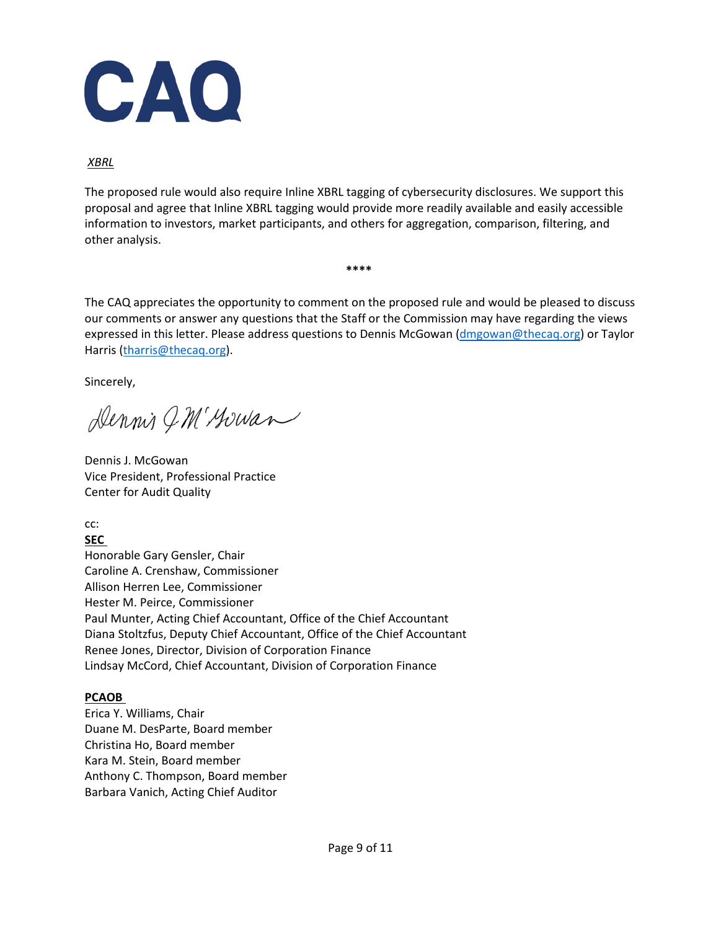

*XBRL*

The proposed rule would also require Inline XBRL tagging of cybersecurity disclosures. We support this proposal and agree that Inline XBRL tagging would provide more readily available and easily accessible information to investors, market participants, and others for aggregation, comparison, filtering, and other analysis.

**\*\*\*\***

The CAQ appreciates the opportunity to comment on the proposed rule and would be pleased to discuss our comments or answer any questions that the Staff or the Commission may have regarding the views expressed in this letter. Please address questions to Dennis McGowan [\(dmgowan@thecaq.org\)](mailto:dmgowan@thecaq.org) or Taylor Harris [\(tharris@thecaq.org\)](mailto:tharris@thecaq.org).

Sincerely,

Dennis GM' Howan

Dennis J. McGowan Vice President, Professional Practice Center for Audit Quality

cc:

**SEC** 

Honorable Gary Gensler, Chair Caroline A. Crenshaw, Commissioner Allison Herren Lee, Commissioner Hester M. Peirce, Commissioner Paul Munter, Acting Chief Accountant, Office of the Chief Accountant Diana Stoltzfus, Deputy Chief Accountant, Office of the Chief Accountant Renee Jones, Director, Division of Corporation Finance Lindsay McCord, Chief Accountant, Division of Corporation Finance

### **PCAOB**

Erica Y. Williams, Chair Duane M. DesParte, Board member Christina Ho, Board member Kara M. Stein, Board member Anthony C. Thompson, Board member Barbara Vanich, Acting Chief Auditor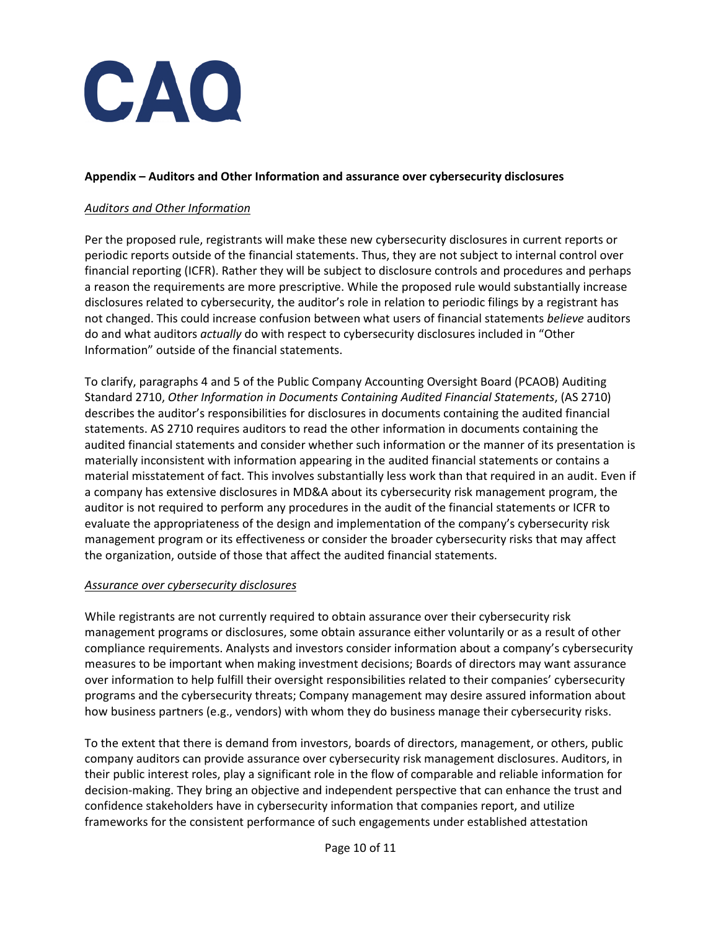

#### **Appendix – Auditors and Other Information and assurance over cybersecurity disclosures**

### *Auditors and Other Information*

Per the proposed rule, registrants will make these new cybersecurity disclosures in current reports or periodic reports outside of the financial statements. Thus, they are not subject to internal control over financial reporting (ICFR). Rather they will be subject to disclosure controls and procedures and perhaps a reason the requirements are more prescriptive. While the proposed rule would substantially increase disclosures related to cybersecurity, the auditor's role in relation to periodic filings by a registrant has not changed. This could increase confusion between what users of financial statements *believe* auditors do and what auditors *actually* do with respect to cybersecurity disclosures included in "Other Information" outside of the financial statements.

To clarify, paragraphs 4 and 5 of the Public Company Accounting Oversight Board (PCAOB) Auditing Standard 2710, *Other Information in Documents Containing Audited Financial Statements*, (AS 2710) describes the auditor's responsibilities for disclosures in documents containing the audited financial statements. AS 2710 requires auditors to read the other information in documents containing the audited financial statements and consider whether such information or the manner of its presentation is materially inconsistent with information appearing in the audited financial statements or contains a material misstatement of fact. This involves substantially less work than that required in an audit. Even if a company has extensive disclosures in MD&A about its cybersecurity risk management program, the auditor is not required to perform any procedures in the audit of the financial statements or ICFR to evaluate the appropriateness of the design and implementation of the company's cybersecurity risk management program or its effectiveness or consider the broader cybersecurity risks that may affect the organization, outside of those that affect the audited financial statements.

#### *Assurance over cybersecurity disclosures*

While registrants are not currently required to obtain assurance over their cybersecurity risk management programs or disclosures, some obtain assurance either voluntarily or as a result of other compliance requirements. Analysts and investors consider information about a company's cybersecurity measures to be important when making investment decisions; Boards of directors may want assurance over information to help fulfill their oversight responsibilities related to their companies' cybersecurity programs and the cybersecurity threats; Company management may desire assured information about how business partners (e.g., vendors) with whom they do business manage their cybersecurity risks.

To the extent that there is demand from investors, boards of directors, management, or others, public company auditors can provide assurance over cybersecurity risk management disclosures. Auditors, in their public interest roles, play a significant role in the flow of comparable and reliable information for decision-making. They bring an objective and independent perspective that can enhance the trust and confidence stakeholders have in cybersecurity information that companies report, and utilize frameworks for the consistent performance of such engagements under established attestation